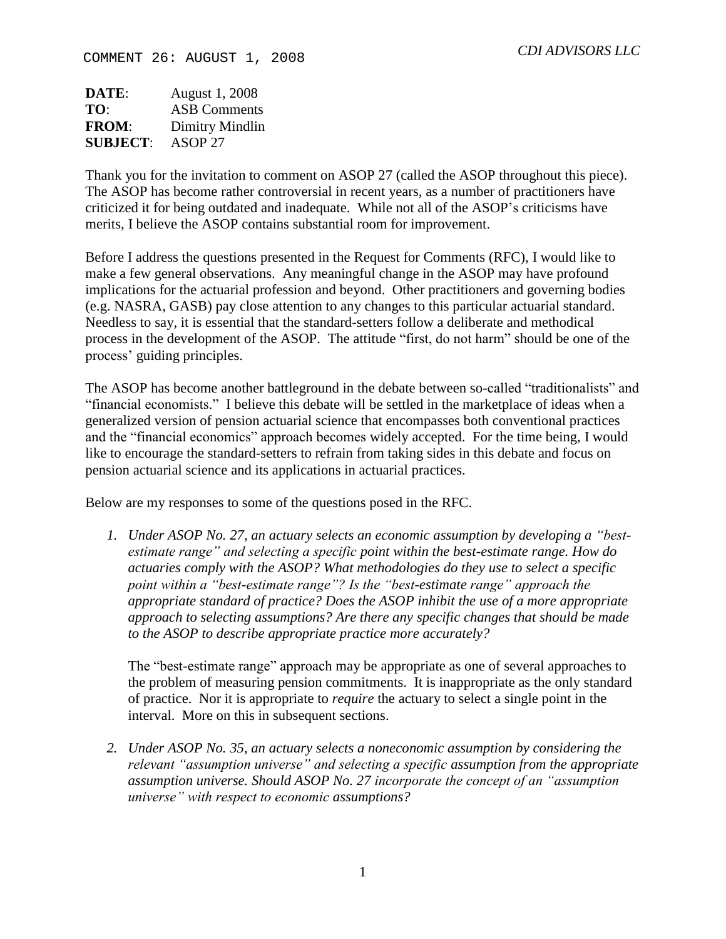**DATE**: August 1, 2008 **TO**: ASB Comments **FROM**: Dimitry Mindlin **SUBJECT**: ASOP 27

Thank you for the invitation to comment on ASOP 27 (called the ASOP throughout this piece). The ASOP has become rather controversial in recent years, as a number of practitioners have criticized it for being outdated and inadequate. While not all of the ASOP's criticisms have merits, I believe the ASOP contains substantial room for improvement.

Before I address the questions presented in the Request for Comments (RFC), I would like to make a few general observations. Any meaningful change in the ASOP may have profound implications for the actuarial profession and beyond. Other practitioners and governing bodies (e.g. NASRA, GASB) pay close attention to any changes to this particular actuarial standard. Needless to say, it is essential that the standard-setters follow a deliberate and methodical process in the development of the ASOP. The attitude "first, do not harm" should be one of the process' guiding principles.

The ASOP has become another battleground in the debate between so-called "traditionalists" and "financial economists." I believe this debate will be settled in the marketplace of ideas when a generalized version of pension actuarial science that encompasses both conventional practices and the "financial economics" approach becomes widely accepted. For the time being, I would like to encourage the standard-setters to refrain from taking sides in this debate and focus on pension actuarial science and its applications in actuarial practices.

Below are my responses to some of the questions posed in the RFC.

*1. Under ASOP No. 27, an actuary selects an economic assumption by developing a "bestestimate range" and selecting a specific point within the best-estimate range. How do actuaries comply with the ASOP? What methodologies do they use to select a specific point within a "best-estimate range"? Is the "best-estimate range" approach the appropriate standard of practice? Does the ASOP inhibit the use of a more appropriate approach to selecting assumptions? Are there any specific changes that should be made to the ASOP to describe appropriate practice more accurately?*

The "best-estimate range" approach may be appropriate as one of several approaches to the problem of measuring pension commitments. It is inappropriate as the only standard of practice. Nor it is appropriate to *require* the actuary to select a single point in the interval. More on this in subsequent sections.

*2. Under ASOP No. 35, an actuary selects a noneconomic assumption by considering the relevant "assumption universe" and selecting a specific assumption from the appropriate assumption universe. Should ASOP No. 27 incorporate the concept of an "assumption universe" with respect to economic assumptions?*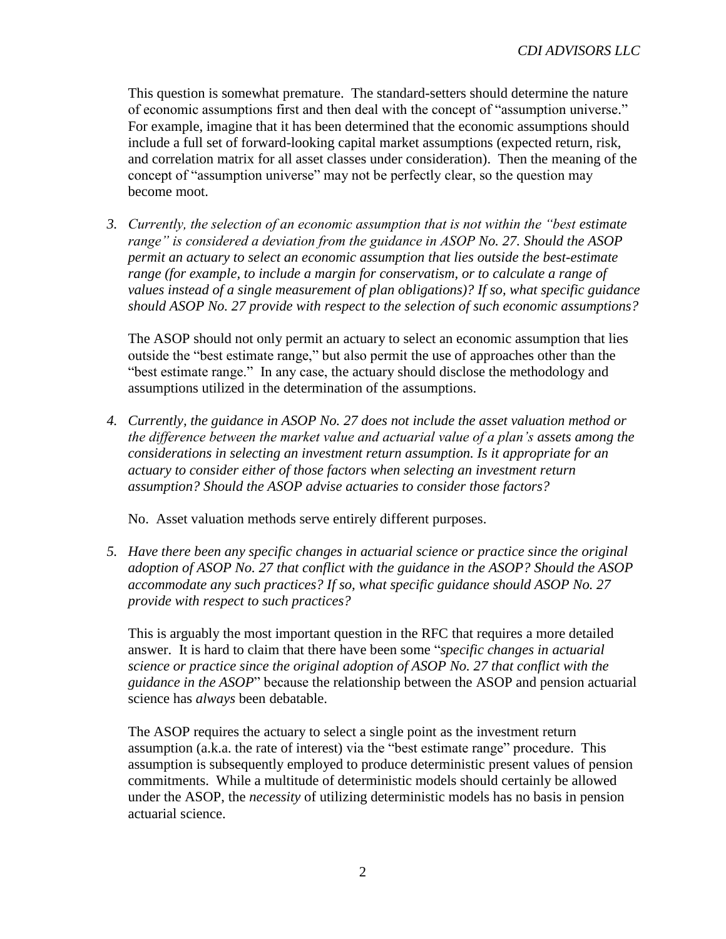This question is somewhat premature. The standard-setters should determine the nature of economic assumptions first and then deal with the concept of "assumption universe." For example, imagine that it has been determined that the economic assumptions should include a full set of forward-looking capital market assumptions (expected return, risk, and correlation matrix for all asset classes under consideration). Then the meaning of the concept of "assumption universe" may not be perfectly clear, so the question may become moot.

*3. Currently, the selection of an economic assumption that is not within the "best estimate range" is considered a deviation from the guidance in ASOP No. 27. Should the ASOP permit an actuary to select an economic assumption that lies outside the best-estimate range (for example, to include a margin for conservatism, or to calculate a range of values instead of a single measurement of plan obligations)? If so, what specific guidance should ASOP No. 27 provide with respect to the selection of such economic assumptions?*

The ASOP should not only permit an actuary to select an economic assumption that lies outside the "best estimate range," but also permit the use of approaches other than the "best estimate range." In any case, the actuary should disclose the methodology and assumptions utilized in the determination of the assumptions.

*4. Currently, the guidance in ASOP No. 27 does not include the asset valuation method or the difference between the market value and actuarial value of a plan's assets among the considerations in selecting an investment return assumption. Is it appropriate for an actuary to consider either of those factors when selecting an investment return assumption? Should the ASOP advise actuaries to consider those factors?*

No. Asset valuation methods serve entirely different purposes.

*5. Have there been any specific changes in actuarial science or practice since the original adoption of ASOP No. 27 that conflict with the guidance in the ASOP? Should the ASOP accommodate any such practices? If so, what specific guidance should ASOP No. 27 provide with respect to such practices?*

This is arguably the most important question in the RFC that requires a more detailed answer. It is hard to claim that there have been some "*specific changes in actuarial science or practice since the original adoption of ASOP No. 27 that conflict with the guidance in the ASOP*" because the relationship between the ASOP and pension actuarial science has *always* been debatable.

The ASOP requires the actuary to select a single point as the investment return assumption (a.k.a. the rate of interest) via the "best estimate range" procedure. This assumption is subsequently employed to produce deterministic present values of pension commitments. While a multitude of deterministic models should certainly be allowed under the ASOP, the *necessity* of utilizing deterministic models has no basis in pension actuarial science.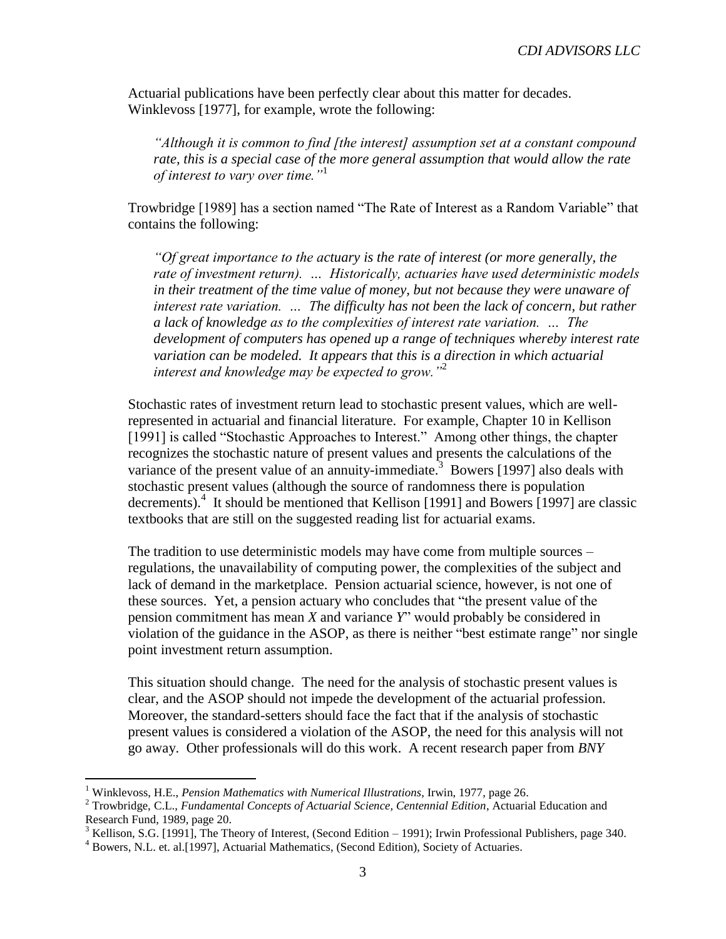Actuarial publications have been perfectly clear about this matter for decades. Winklevoss [1977], for example, wrote the following:

*"Although it is common to find [the interest] assumption set at a constant compound rate, this is a special case of the more general assumption that would allow the rate of interest to vary over time."*<sup>1</sup>

Trowbridge [1989] has a section named "The Rate of Interest as a Random Variable" that contains the following:

*"Of great importance to the actuary is the rate of interest (or more generally, the rate of investment return). … Historically, actuaries have used deterministic models in their treatment of the time value of money, but not because they were unaware of interest rate variation. … The difficulty has not been the lack of concern, but rather a lack of knowledge as to the complexities of interest rate variation. … The development of computers has opened up a range of techniques whereby interest rate variation can be modeled. It appears that this is a direction in which actuarial interest and knowledge may be expected to grow."*<sup>2</sup>

Stochastic rates of investment return lead to stochastic present values, which are wellrepresented in actuarial and financial literature. For example, Chapter 10 in Kellison [1991] is called "Stochastic Approaches to Interest." Among other things, the chapter recognizes the stochastic nature of present values and presents the calculations of the variance of the present value of an annuity-immediate.<sup>3</sup> Bowers [1997] also deals with stochastic present values (although the source of randomness there is population decrements).<sup>4</sup> It should be mentioned that Kellison [1991] and Bowers [1997] are classic textbooks that are still on the suggested reading list for actuarial exams.

The tradition to use deterministic models may have come from multiple sources – regulations, the unavailability of computing power, the complexities of the subject and lack of demand in the marketplace. Pension actuarial science, however, is not one of these sources. Yet, a pension actuary who concludes that "the present value of the pension commitment has mean *X* and variance *Y*" would probably be considered in violation of the guidance in the ASOP, as there is neither "best estimate range" nor single point investment return assumption.

This situation should change. The need for the analysis of stochastic present values is clear, and the ASOP should not impede the development of the actuarial profession. Moreover, the standard-setters should face the fact that if the analysis of stochastic present values is considered a violation of the ASOP, the need for this analysis will not go away. Other professionals will do this work. A recent research paper from *BNY* 

 $\overline{a}$ 

<sup>1</sup> Winklevoss, H.E., *Pension Mathematics with Numerical Illustrations*, Irwin, 1977, page 26.

<sup>2</sup> Trowbridge, C.L., *Fundamental Concepts of Actuarial Science, Centennial Edition*, Actuarial Education and Research Fund, 1989, page 20.

 $3$  Kellison, S.G. [1991], The Theory of Interest, (Second Edition – 1991); Irwin Professional Publishers, page 340.

<sup>4</sup> Bowers, N.L. et. al.[1997], Actuarial Mathematics, (Second Edition), Society of Actuaries.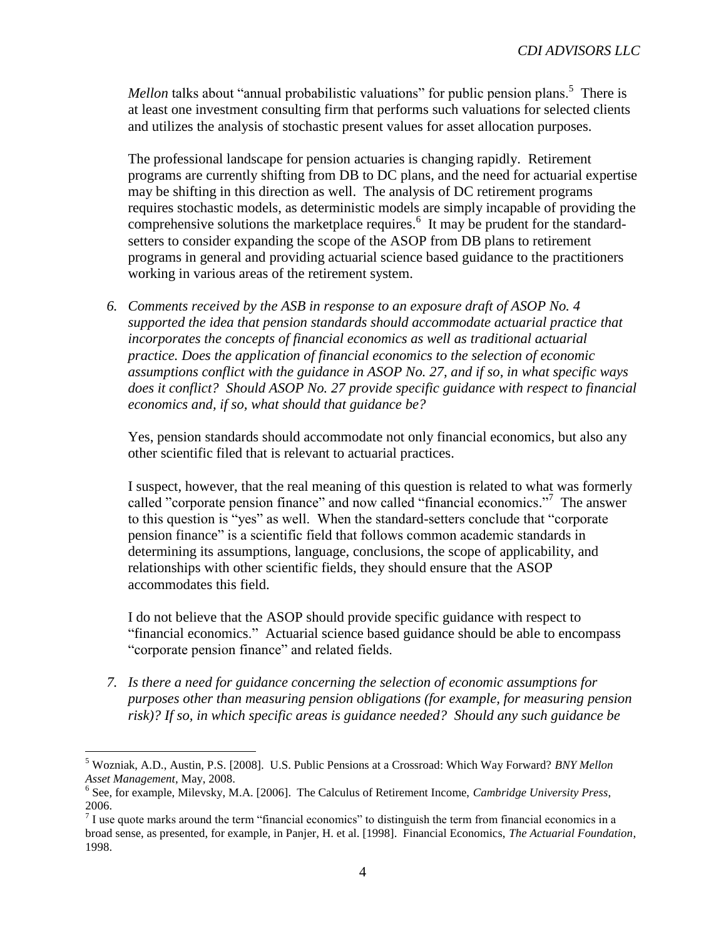*Mellon* talks about "annual probabilistic valuations" for public pension plans.<sup>5</sup> There is at least one investment consulting firm that performs such valuations for selected clients and utilizes the analysis of stochastic present values for asset allocation purposes.

The professional landscape for pension actuaries is changing rapidly. Retirement programs are currently shifting from DB to DC plans, and the need for actuarial expertise may be shifting in this direction as well. The analysis of DC retirement programs requires stochastic models, as deterministic models are simply incapable of providing the comprehensive solutions the marketplace requires.<sup>6</sup> It may be prudent for the standardsetters to consider expanding the scope of the ASOP from DB plans to retirement programs in general and providing actuarial science based guidance to the practitioners working in various areas of the retirement system.

*6. Comments received by the ASB in response to an exposure draft of ASOP No. 4 supported the idea that pension standards should accommodate actuarial practice that incorporates the concepts of financial economics as well as traditional actuarial practice. Does the application of financial economics to the selection of economic assumptions conflict with the guidance in ASOP No. 27, and if so, in what specific ways does it conflict? Should ASOP No. 27 provide specific guidance with respect to financial economics and, if so, what should that guidance be?*

Yes, pension standards should accommodate not only financial economics, but also any other scientific filed that is relevant to actuarial practices.

I suspect, however, that the real meaning of this question is related to what was formerly called "corporate pension finance" and now called "financial economics."<sup>7</sup> The answer to this question is "yes" as well. When the standard-setters conclude that "corporate pension finance" is a scientific field that follows common academic standards in determining its assumptions, language, conclusions, the scope of applicability, and relationships with other scientific fields, they should ensure that the ASOP accommodates this field.

I do not believe that the ASOP should provide specific guidance with respect to "financial economics." Actuarial science based guidance should be able to encompass "corporate pension finance" and related fields.

*7. Is there a need for guidance concerning the selection of economic assumptions for purposes other than measuring pension obligations (for example, for measuring pension risk)? If so, in which specific areas is guidance needed? Should any such guidance be* 

 $\overline{a}$ 

<sup>5</sup> Wozniak, A.D., Austin, P.S. [2008]. U.S. Public Pensions at a Crossroad: Which Way Forward? *BNY Mellon Asset Management*, May, 2008.

<sup>6</sup> See, for example, Milevsky, M.A. [2006]. The Calculus of Retirement Income, *Cambridge University Press*,

<sup>2006.&</sup>lt;br><sup>7</sup> I use quote marks around the term "financial economics" to distinguish the term from financial economics in a broad sense, as presented, for example, in Panjer, H. et al. [1998]. Financial Economics, *The Actuarial Foundation*, 1998.